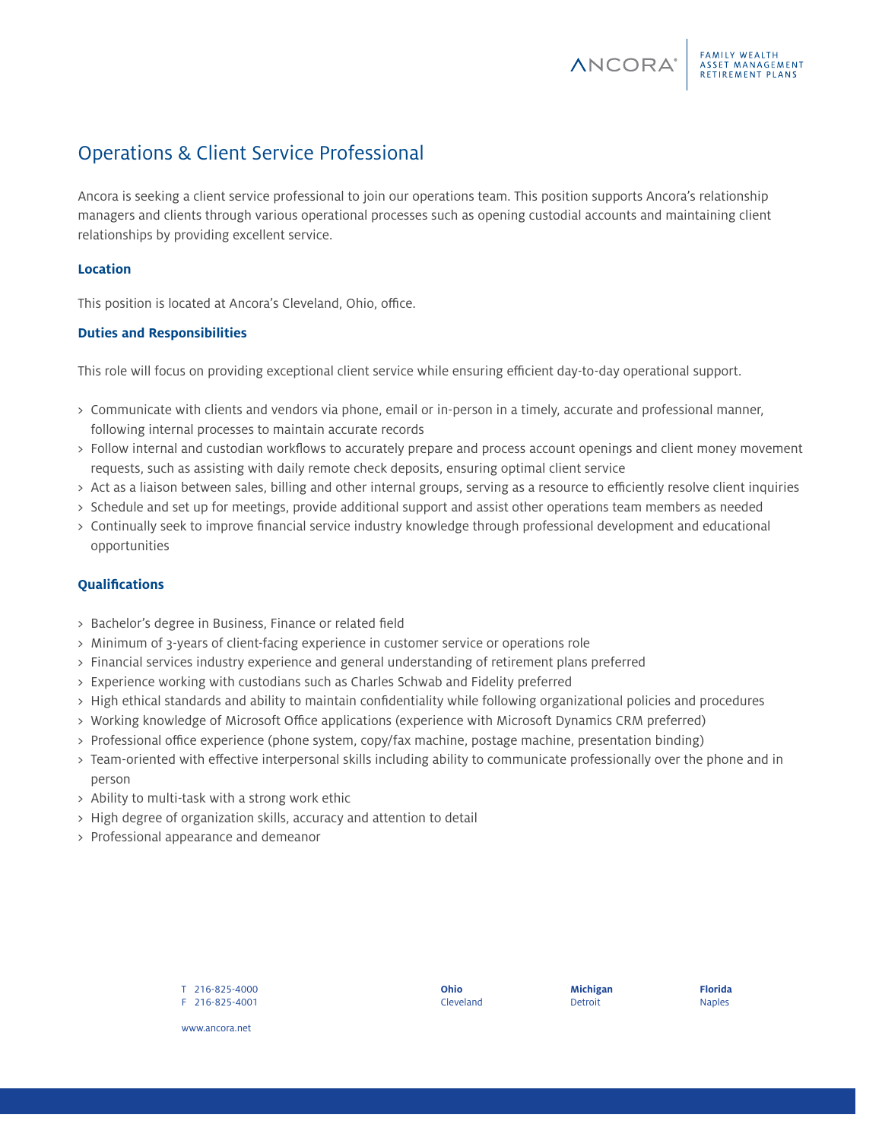# Operations & Client Service Professional

Ancora is seeking a client service professional to join our operations team. This position supports Ancora's relationship managers and clients through various operational processes such as opening custodial accounts and maintaining client relationships by providing excellent service.

# **Location**

This position is located at Ancora's Cleveland, Ohio, office.

#### **Duties and Responsibilities**

This role will focus on providing exceptional client service while ensuring efficient day-to-day operational support.

- > Communicate with clients and vendors via phone, email or in-person in a timely, accurate and professional manner, following internal processes to maintain accurate records
- > Follow internal and custodian workflows to accurately prepare and process account openings and client money movement requests, such as assisting with daily remote check deposits, ensuring optimal client service
- > Act as a liaison between sales, billing and other internal groups, serving as a resource to efficiently resolve client inquiries
- > Schedule and set up for meetings, provide additional support and assist other operations team members as needed
- > Continually seek to improve financial service industry knowledge through professional development and educational opportunities

#### **Qualifications**

- > Bachelor's degree in Business, Finance or related field
- > Minimum of 3-years of client-facing experience in customer service or operations role
- > Financial services industry experience and general understanding of retirement plans preferred
- > Experience working with custodians such as Charles Schwab and Fidelity preferred
- > High ethical standards and ability to maintain confidentiality while following organizational policies and procedures
- > Working knowledge of Microsoft Office applications (experience with Microsoft Dynamics CRM preferred)
- > Professional office experience (phone system, copy/fax machine, postage machine, presentation binding)
- > Team-oriented with effective interpersonal skills including ability to communicate professionally over the phone and in person
- > Ability to multi-task with a strong work ethic
- > High degree of organization skills, accuracy and attention to detail
- > Professional appearance and demeanor

T 216-825-4000 F 216-825-4001 **Ohio** Cleveland **Michigan** Detroit

**ANCORA**<sup>®</sup>

FAMILY WEALTH<br>ASSET MANAGEMENT<br>RETIREMENT PLANS

**Florida** Naples

www.ancora.net